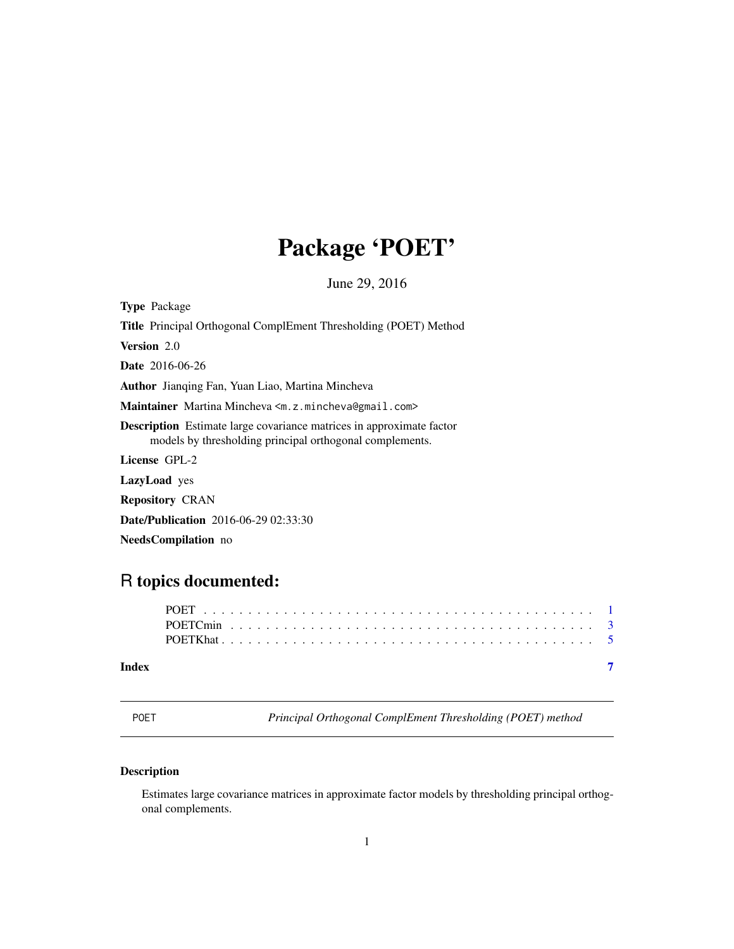# <span id="page-0-0"></span>Package 'POET'

June 29, 2016

| <b>Type Package</b>                                                                                                                     |
|-----------------------------------------------------------------------------------------------------------------------------------------|
| Title Principal Orthogonal ComplEment Thresholding (POET) Method                                                                        |
| <b>Version</b> 2.0                                                                                                                      |
| <b>Date</b> 2016-06-26                                                                                                                  |
| Author Jianqing Fan, Yuan Liao, Martina Mincheva                                                                                        |
| Maintainer Martina Mincheva <m. z.mincheva@gmail.com=""></m.>                                                                           |
| <b>Description</b> Estimate large covariance matrices in approximate factor<br>models by thresholding principal orthogonal complements. |
| License GPL-2                                                                                                                           |
| <b>LazyLoad</b> yes                                                                                                                     |
| <b>Repository CRAN</b>                                                                                                                  |
| <b>Date/Publication</b> 2016-06-29 02:33:30                                                                                             |

NeedsCompilation no

# R topics documented:

| I<br>$\sim$ |  |
|-------------|--|
|             |  |

**Principal Orthogonal ComplEment Thresholding (POET) method** 

# Description

Estimates large covariance matrices in approximate factor models by thresholding principal orthogonal complements.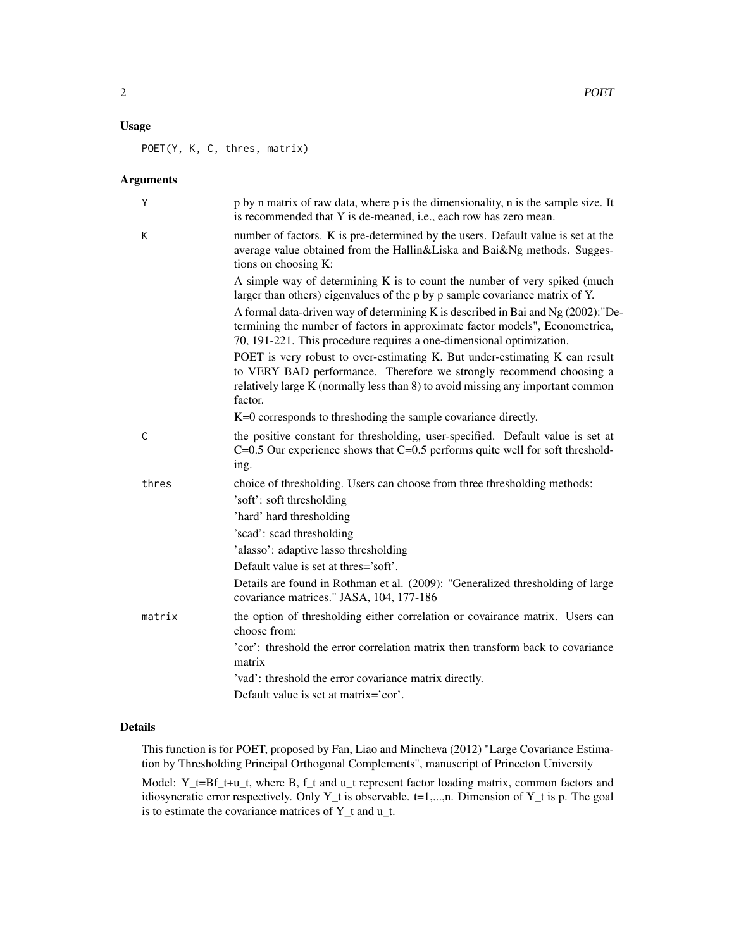# Usage

POET(Y, K, C, thres, matrix)

# Arguments

| Y      | p by n matrix of raw data, where p is the dimensionality, n is the sample size. It<br>is recommended that Y is de-meaned, i.e., each row has zero mean.                                                                                          |
|--------|--------------------------------------------------------------------------------------------------------------------------------------------------------------------------------------------------------------------------------------------------|
| К      | number of factors. K is pre-determined by the users. Default value is set at the<br>average value obtained from the Hallin&Liska and Bai&Ng methods. Sugges-<br>tions on choosing K:                                                             |
|        | A simple way of determining K is to count the number of very spiked (much<br>larger than others) eigenvalues of the p by p sample covariance matrix of Y.                                                                                        |
|        | A formal data-driven way of determining K is described in Bai and Ng (2002): "De-<br>termining the number of factors in approximate factor models", Econometrica,<br>70, 191-221. This procedure requires a one-dimensional optimization.        |
|        | POET is very robust to over-estimating K. But under-estimating K can result<br>to VERY BAD performance. Therefore we strongly recommend choosing a<br>relatively large K (normally less than 8) to avoid missing any important common<br>factor. |
|        | K=0 corresponds to threshoding the sample covariance directly.                                                                                                                                                                                   |
| C      | the positive constant for thresholding, user-specified. Default value is set at<br>$C=0.5$ Our experience shows that $C=0.5$ performs quite well for soft threshold-<br>ing.                                                                     |
| thres  | choice of thresholding. Users can choose from three thresholding methods:                                                                                                                                                                        |
|        | 'soft': soft thresholding                                                                                                                                                                                                                        |
|        | 'hard' hard thresholding                                                                                                                                                                                                                         |
|        | 'scad': scad thresholding                                                                                                                                                                                                                        |
|        | 'alasso': adaptive lasso thresholding                                                                                                                                                                                                            |
|        | Default value is set at thres='soft'.                                                                                                                                                                                                            |
|        | Details are found in Rothman et al. (2009): "Generalized thresholding of large<br>covariance matrices." JASA, 104, 177-186                                                                                                                       |
| matrix | the option of thresholding either correlation or covairance matrix. Users can<br>choose from:                                                                                                                                                    |
|        | 'cor': threshold the error correlation matrix then transform back to covariance<br>matrix                                                                                                                                                        |
|        | 'vad': threshold the error covariance matrix directly.                                                                                                                                                                                           |
|        | Default value is set at matrix='cor'.                                                                                                                                                                                                            |

# Details

This function is for POET, proposed by Fan, Liao and Mincheva (2012) "Large Covariance Estimation by Thresholding Principal Orthogonal Complements", manuscript of Princeton University

Model: Y\_t=Bf\_t+u\_t, where B, f\_t and u\_t represent factor loading matrix, common factors and idiosyncratic error respectively. Only Y\_t is observable. t=1,...,n. Dimension of Y\_t is p. The goal is to estimate the covariance matrices of Y\_t and u\_t.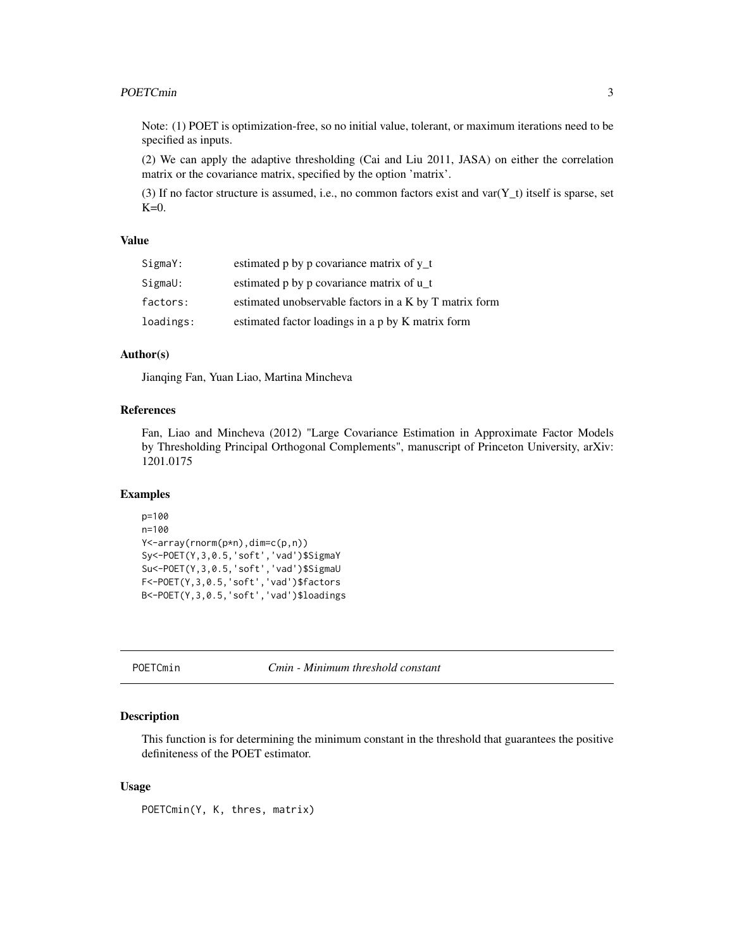#### <span id="page-2-0"></span>POETCmin 3

Note: (1) POET is optimization-free, so no initial value, tolerant, or maximum iterations need to be specified as inputs.

(2) We can apply the adaptive thresholding (Cai and Liu 2011, JASA) on either the correlation matrix or the covariance matrix, specified by the option 'matrix'.

(3) If no factor structure is assumed, i.e., no common factors exist and  $var(Y_t)$  itself is sparse, set  $K=0$ .

#### Value

| SigmaY:   | estimated p by p covariance matrix of y_t              |
|-----------|--------------------------------------------------------|
| SigmaU:   | estimated p by p covariance matrix of u_t              |
| factors:  | estimated unobservable factors in a K by T matrix form |
| loadings: | estimated factor loadings in a p by K matrix form      |

# Author(s)

Jianqing Fan, Yuan Liao, Martina Mincheva

#### References

Fan, Liao and Mincheva (2012) "Large Covariance Estimation in Approximate Factor Models by Thresholding Principal Orthogonal Complements", manuscript of Princeton University, arXiv: 1201.0175

# Examples

```
p=100
n=100
Y<-array(rnorm(p*n),dim=c(p,n))
Sy<-POET(Y,3,0.5,'soft','vad')$SigmaY
Su<-POET(Y,3,0.5,'soft','vad')$SigmaU
F<-POET(Y,3,0.5,'soft','vad')$factors
B<-POET(Y,3,0.5,'soft','vad')$loadings
```
POETCmin *Cmin - Minimum threshold constant*

#### Description

This function is for determining the minimum constant in the threshold that guarantees the positive definiteness of the POET estimator.

### Usage

POETCmin(Y, K, thres, matrix)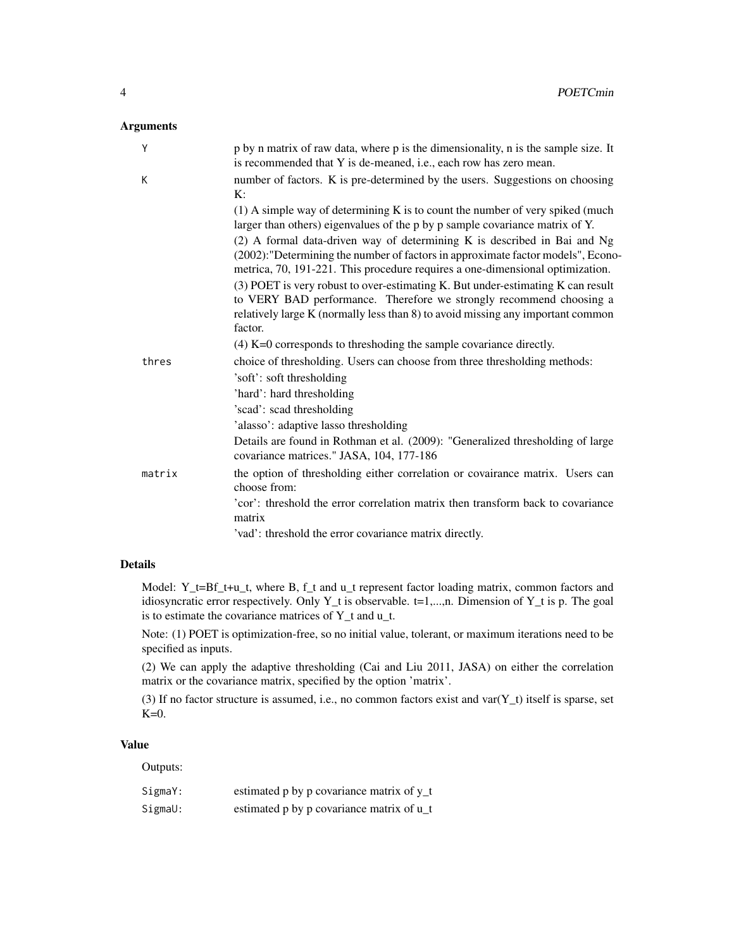# Arguments

| Y      | p by n matrix of raw data, where p is the dimensionality, n is the sample size. It<br>is recommended that Y is de-meaned, i.e., each row has zero mean.                                                                                              |
|--------|------------------------------------------------------------------------------------------------------------------------------------------------------------------------------------------------------------------------------------------------------|
| K      | number of factors. K is pre-determined by the users. Suggestions on choosing<br>K:                                                                                                                                                                   |
|        | $(1)$ A simple way of determining K is to count the number of very spiked (much<br>larger than others) eigenvalues of the p by p sample covariance matrix of Y.                                                                                      |
|        | (2) A formal data-driven way of determining K is described in Bai and Ng<br>(2002): "Determining the number of factors in approximate factor models", Econo-<br>metrica, 70, 191-221. This procedure requires a one-dimensional optimization.        |
|        | (3) POET is very robust to over-estimating K. But under-estimating K can result<br>to VERY BAD performance. Therefore we strongly recommend choosing a<br>relatively large K (normally less than 8) to avoid missing any important common<br>factor. |
|        | $(4)$ K=0 corresponds to threshoding the sample covariance directly.                                                                                                                                                                                 |
| thres  | choice of thresholding. Users can choose from three thresholding methods:<br>'soft': soft thresholding                                                                                                                                               |
|        | 'hard': hard thresholding                                                                                                                                                                                                                            |
|        | 'scad': scad thresholding                                                                                                                                                                                                                            |
|        | 'alasso': adaptive lasso thresholding                                                                                                                                                                                                                |
|        | Details are found in Rothman et al. (2009): "Generalized thresholding of large<br>covariance matrices." JASA, 104, 177-186                                                                                                                           |
| matrix | the option of thresholding either correlation or covairance matrix. Users can<br>choose from:                                                                                                                                                        |
|        | 'cor': threshold the error correlation matrix then transform back to covariance<br>matrix                                                                                                                                                            |
|        | 'vad': threshold the error covariance matrix directly.                                                                                                                                                                                               |

# Details

Model: Y\_t=Bf\_t+u\_t, where B, f\_t and u\_t represent factor loading matrix, common factors and idiosyncratic error respectively. Only Y\_t is observable. t=1,...,n. Dimension of Y\_t is p. The goal is to estimate the covariance matrices of Y\_t and u\_t.

Note: (1) POET is optimization-free, so no initial value, tolerant, or maximum iterations need to be specified as inputs.

(2) We can apply the adaptive thresholding (Cai and Liu 2011, JASA) on either the correlation matrix or the covariance matrix, specified by the option 'matrix'.

(3) If no factor structure is assumed, i.e., no common factors exist and  $var(Y_t)$  itself is sparse, set  $K=0$ .

# Value

Outputs:

| SigmaY: | estimated p by p covariance matrix of y_t |
|---------|-------------------------------------------|
| SigmaU: | estimated p by p covariance matrix of u_t |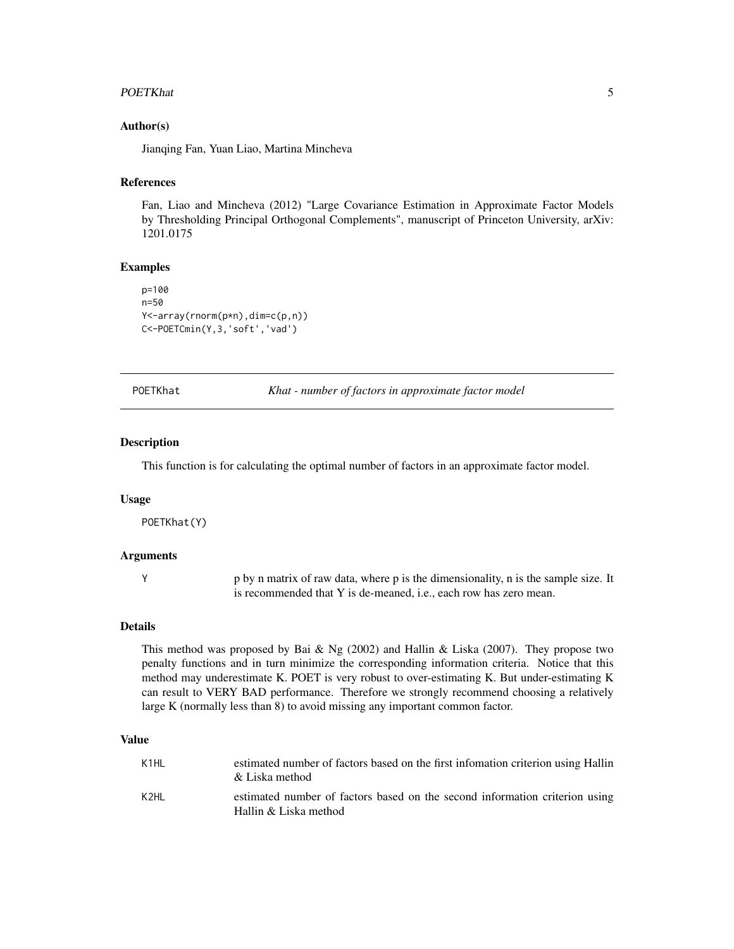#### <span id="page-4-0"></span>POETKhat 5

# Author(s)

Jianqing Fan, Yuan Liao, Martina Mincheva

## References

Fan, Liao and Mincheva (2012) "Large Covariance Estimation in Approximate Factor Models by Thresholding Principal Orthogonal Complements", manuscript of Princeton University, arXiv: 1201.0175

#### Examples

```
p=100
n=50
Y<-array(rnorm(p*n),dim=c(p,n))
C<-POETCmin(Y,3,'soft','vad')
```
POETKhat *Khat - number of factors in approximate factor model*

#### **Description**

This function is for calculating the optimal number of factors in an approximate factor model.

#### Usage

POETKhat(Y)

## Arguments

Y p by n matrix of raw data, where p is the dimensionality, n is the sample size. It is recommended that Y is de-meaned, i.e., each row has zero mean.

#### Details

This method was proposed by Bai & Ng (2002) and Hallin & Liska (2007). They propose two penalty functions and in turn minimize the corresponding information criteria. Notice that this method may underestimate K. POET is very robust to over-estimating K. But under-estimating K can result to VERY BAD performance. Therefore we strongly recommend choosing a relatively large K (normally less than 8) to avoid missing any important common factor.

### Value

| K1HI. | estimated number of factors based on the first information criterion using Hallin<br>& Liska method  |
|-------|------------------------------------------------------------------------------------------------------|
| K2HI. | estimated number of factors based on the second information criterion using<br>Hallin & Liska method |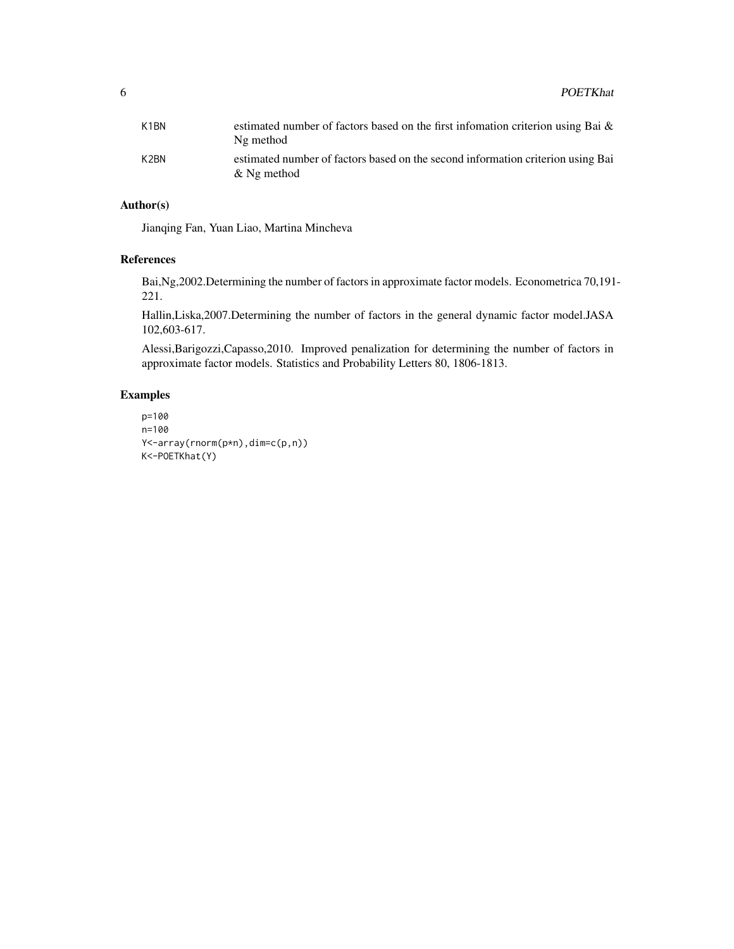| K <sub>1</sub> BN | estimated number of factors based on the first information criterion using Bai $\&$<br>Ng method  |
|-------------------|---------------------------------------------------------------------------------------------------|
| K <sub>2</sub> BN | estimated number of factors based on the second information criterion using Bai<br>$\&$ Ng method |

# Author(s)

Jianqing Fan, Yuan Liao, Martina Mincheva

# References

Bai,Ng,2002.Determining the number of factors in approximate factor models. Econometrica 70,191- 221.

Hallin,Liska,2007.Determining the number of factors in the general dynamic factor model.JASA 102,603-617.

Alessi,Barigozzi,Capasso,2010. Improved penalization for determining the number of factors in approximate factor models. Statistics and Probability Letters 80, 1806-1813.

# Examples

```
p=100
n=100
Y<-array(rnorm(p*n),dim=c(p,n))
K<-POETKhat(Y)
```